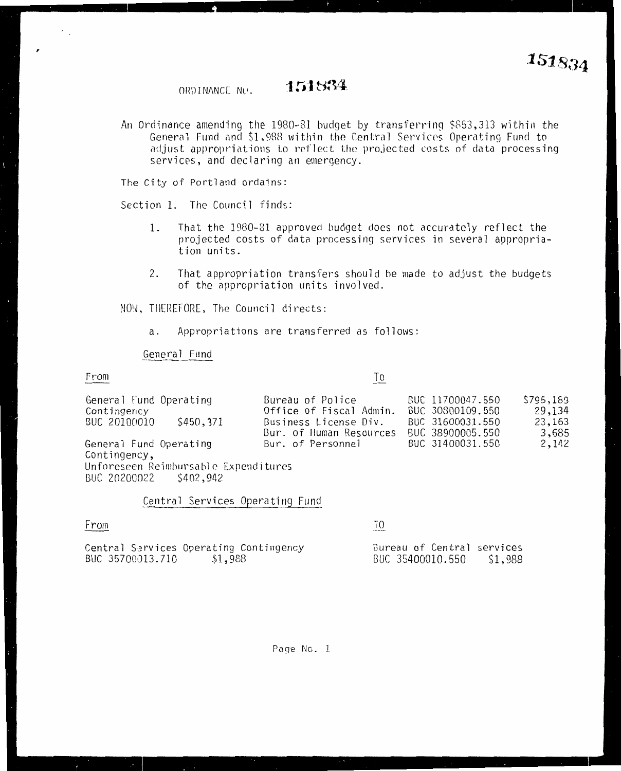151834 ORDINANCE NO.

An Ordinance amending the 1980-81 budget by transferring \$853,313 within the General Fund and \$1,988 within the Central Services Operating Fund to adjust appropriations to reflect the projected costs of data processing services, and declaring an emergency.

The City of Portland ordains:

Section 1. The Council finds:

- That the 1980-81 approved budget does not accurately reflect the 1. projected costs of data processing services in several appropriation units.
- 2. That appropriation transfers should be made to adjust the budgets of the appropriation units involved.

NOW, THEREFORE, The Council directs:

Appropriations are transferred as follows: a.

General Fund

## From

 $\gamma$  .

Τo

| General Fund Operating               | Bureau of Police        | BUC 11700047.550 | \$795,189 |
|--------------------------------------|-------------------------|------------------|-----------|
| Contingency                          | Office of Fiscal Admin. | BUC 30800109.550 | 29,134    |
| \$450,371<br>BUC 20100010            | Business License Div.   | BUC 31600031.550 | 23,163    |
|                                      | Bur. of Human Resources | BUC 38900005.550 | 3,685     |
| General Fund Operating               | Bur. of Personnel       | BUC 31400031.550 | 2,142     |
| Contingency,                         |                         |                  |           |
| Unforeseen Reimbursable Expenditures |                         |                  |           |

942, 802 S402, BUC

BUC 35700013.710

Central Services Operating Fund

\$1,988

| -rom |  |                                        |
|------|--|----------------------------------------|
|      |  | Central Services Operating Contingency |

T0

Bureau of Central services BUC 35400010.550 \$1,988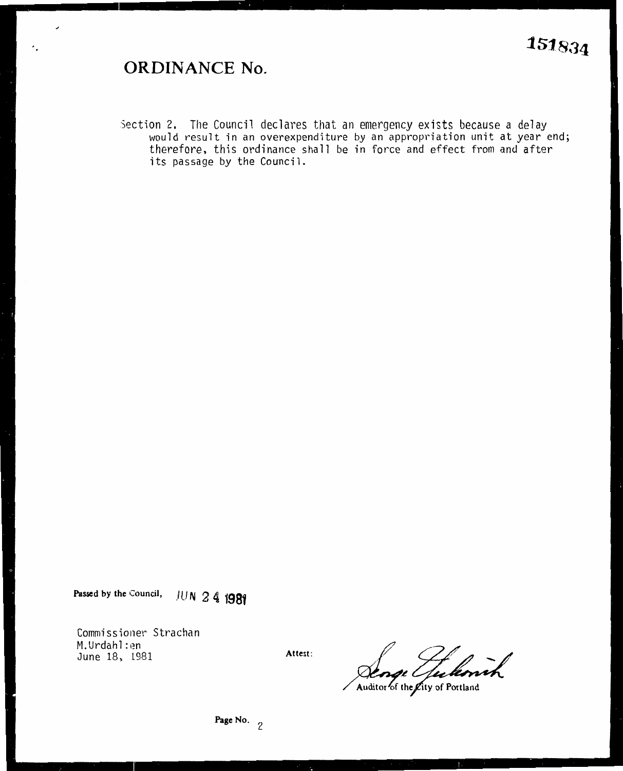## **ORDINANCE No.**

 $\cdot$  .

Section 2. The Council declares that an emergency exists because a delay would result in an overexpenditure by an appropriation unit at year end; therefore, this ordinance shall be in force and effect from and after its passage by the Council.

**Passed by the Council,** *\_ll}* **N 2 4 1981** 

Commissioner Strachan M.Urdahl: en June 18, 1981

**Attest:** 

fukovih

Auditor of the Lity of Portland